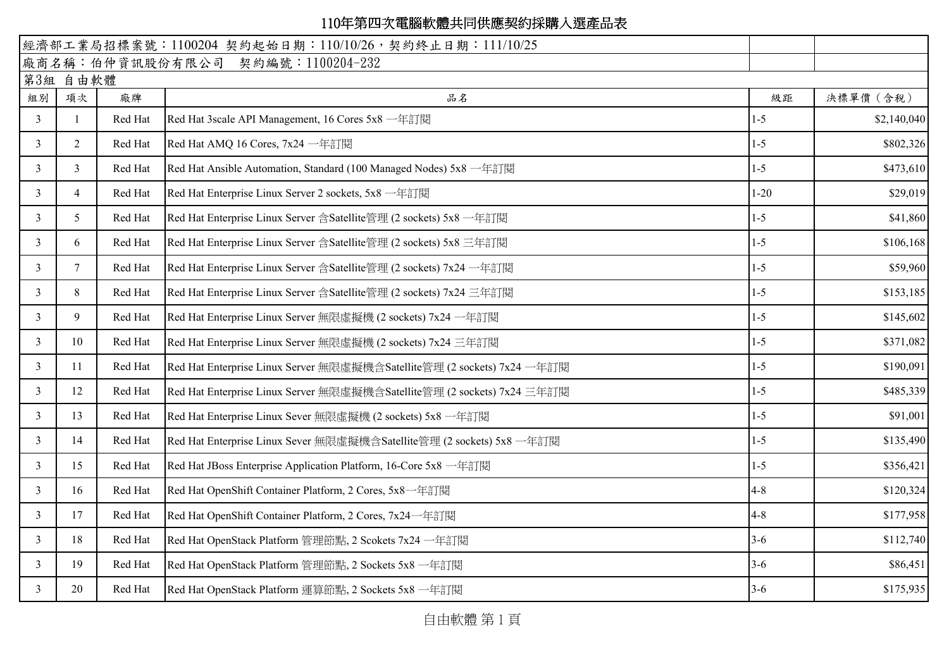## 110年第四次電腦軟體共同供應契約採購入選產品表

| 經濟部工業局招標案號: 1100204 契約起始日期: 110/10/26, 契約終止日期: 111/10/25 |                |         |                                                                         |          |             |  |  |  |  |  |
|----------------------------------------------------------|----------------|---------|-------------------------------------------------------------------------|----------|-------------|--|--|--|--|--|
|                                                          |                |         | 廠商名稱:伯仲資訊股份有限公司 契約編號:1100204-232                                        |          |             |  |  |  |  |  |
| 第3組 自由軟體                                                 |                |         |                                                                         |          |             |  |  |  |  |  |
| 組別                                                       | 項次             | 廠牌      | 品名                                                                      | 級距       | 決標單價 (含稅)   |  |  |  |  |  |
| 3                                                        |                | Red Hat | Red Hat 3scale API Management, 16 Cores 5x8 一年訂閱                        | $1 - 5$  | \$2,140,040 |  |  |  |  |  |
| $\mathfrak{Z}$                                           | $\overline{2}$ | Red Hat | Red Hat AMQ 16 Cores, 7x24 一年訂閱                                         | $1 - 5$  | \$802,326   |  |  |  |  |  |
| 3                                                        | 3              | Red Hat | Red Hat Ansible Automation, Standard (100 Managed Nodes) 5x8 一年訂閱       | $1 - 5$  | \$473,610   |  |  |  |  |  |
| $\mathfrak{Z}$                                           | $\overline{4}$ | Red Hat | Red Hat Enterprise Linux Server 2 sockets, 5x8 一年訂閱                     | $1 - 20$ | \$29,019    |  |  |  |  |  |
| 3                                                        | 5              | Red Hat | Red Hat Enterprise Linux Server 含Satellite管理 (2 sockets) 5x8 一年訂閱       | $1-5$    | \$41,860    |  |  |  |  |  |
| $\mathfrak{Z}$                                           | 6              | Red Hat | Red Hat Enterprise Linux Server 含Satellite管理 (2 sockets) 5x8 三年訂閱       | $1 - 5$  | \$106,168   |  |  |  |  |  |
| 3                                                        | $7^{\circ}$    | Red Hat | Red Hat Enterprise Linux Server 含Satellite管理 (2 sockets) 7x24 一年訂閱      | $1 - 5$  | \$59,960    |  |  |  |  |  |
| $\overline{3}$                                           | 8              | Red Hat | Red Hat Enterprise Linux Server 含Satellite管理 (2 sockets) 7x24 三年訂閱      | $1 - 5$  | \$153,185   |  |  |  |  |  |
| 3                                                        | 9              | Red Hat | Red Hat Enterprise Linux Server 無限虛擬機 (2 sockets) 7x24 一年訂閱             | $1-5$    | \$145,602   |  |  |  |  |  |
| $\mathfrak{Z}$                                           | 10             | Red Hat | Red Hat Enterprise Linux Server 無限虛擬機 (2 sockets) 7x24 三年訂閱             | $1 - 5$  | \$371,082   |  |  |  |  |  |
| 3                                                        | 11             | Red Hat | Red Hat Enterprise Linux Server 無限虛擬機含Satellite管理 (2 sockets) 7x24 一年訂閱 | $1-5$    | \$190,091   |  |  |  |  |  |
| $\mathfrak{Z}$                                           | 12             | Red Hat | Red Hat Enterprise Linux Server 無限虛擬機含Satellite管理 (2 sockets) 7x24 三年訂閱 | $1 - 5$  | \$485,339   |  |  |  |  |  |
| 3                                                        | 13             | Red Hat | Red Hat Enterprise Linux Sever 無限虛擬機 (2 sockets) 5x8 一年訂閱               | $1-5$    | \$91,001    |  |  |  |  |  |
| $\mathfrak{Z}$                                           | 14             | Red Hat | Red Hat Enterprise Linux Sever 無限虛擬機含Satellite管理 (2 sockets) 5x8 一年訂閱   | $1 - 5$  | \$135,490   |  |  |  |  |  |
| 3                                                        | 15             | Red Hat | Red Hat JBoss Enterprise Application Platform, 16-Core 5x8 一年訂閱         | $1 - 5$  | \$356,421   |  |  |  |  |  |
| $\overline{3}$                                           | 16             | Red Hat | Red Hat OpenShift Container Platform, 2 Cores, 5x8 一年訂閱                 | $4 - 8$  | \$120,324   |  |  |  |  |  |
| 3                                                        | 17             | Red Hat | Red Hat OpenShift Container Platform, 2 Cores, 7x24 一年訂閱                | $4 - 8$  | \$177,958   |  |  |  |  |  |
| $\mathfrak{Z}$                                           | 18             | Red Hat | Red Hat OpenStack Platform 管理節點, 2 Scokets 7x24 一年訂閱                    | $3-6$    | \$112,740   |  |  |  |  |  |
| 3                                                        | 19             | Red Hat | Red Hat OpenStack Platform 管理節點, 2 Sockets 5x8 一年訂閱                     | $3-6$    | \$86,451    |  |  |  |  |  |
| 3                                                        | 20             | Red Hat | Red Hat OpenStack Platform 運算節點, 2 Sockets 5x8 一年訂閱                     | $3-6$    | \$175,935   |  |  |  |  |  |

自由軟體 第 1 頁